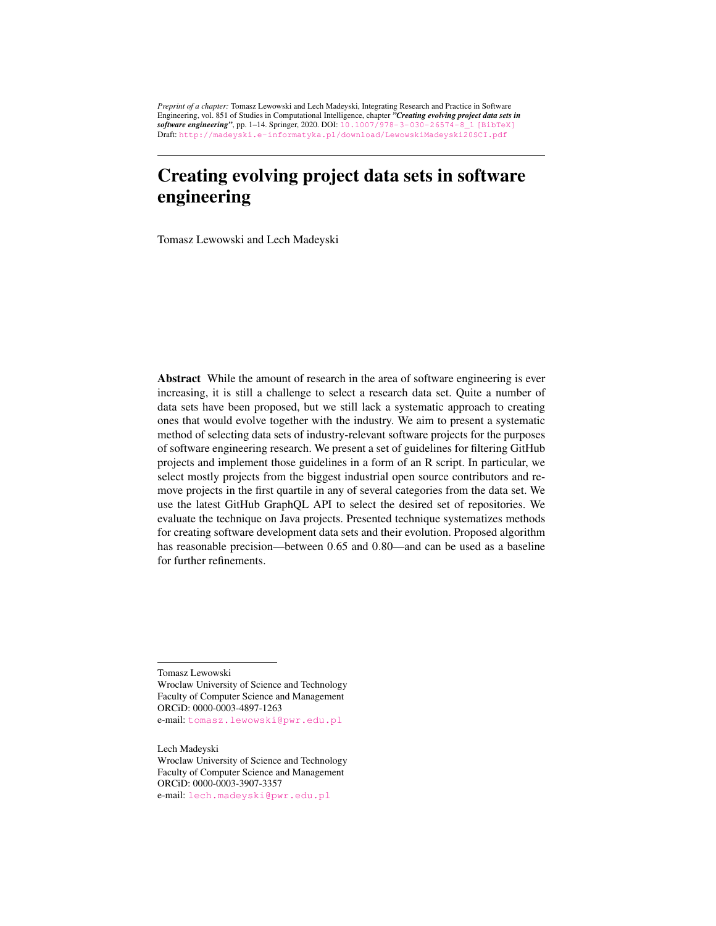<span id="page-0-0"></span>*Preprint of a chapter:* Tomasz Lewowski and Lech Madeyski, Integrating Research and Practice in Software Engineering, vol. 851 of Studies in Computational Intelligence, chapter *"Creating evolving project data sets in software engineering"*, pp. 1–14. Springer, 2020. DOI: [10.1007/978-3-030-26574-8\\_1](http://dx.doi.org/10.1007/978-3-030-26574-8_1) [\[BibTeX\]](http://madeyski.e-informatyka.pl/download/MadeyskiRefs.bib) Draft: <http://madeyski.e-informatyka.pl/download/LewowskiMadeyski20SCI.pdf>

# Creating evolving project data sets in software engineering

Tomasz Lewowski and Lech Madeyski

Abstract While the amount of research in the area of software engineering is ever increasing, it is still a challenge to select a research data set. Quite a number of data sets have been proposed, but we still lack a systematic approach to creating ones that would evolve together with the industry. We aim to present a systematic method of selecting data sets of industry-relevant software projects for the purposes of software engineering research. We present a set of guidelines for filtering GitHub projects and implement those guidelines in a form of an R script. In particular, we select mostly projects from the biggest industrial open source contributors and remove projects in the first quartile in any of several categories from the data set. We use the latest GitHub GraphQL API to select the desired set of repositories. We evaluate the technique on Java projects. Presented technique systematizes methods for creating software development data sets and their evolution. Proposed algorithm has reasonable precision—between 0.65 and 0.80—and can be used as a baseline for further refinements.

Tomasz Lewowski

Wroclaw University of Science and Technology Faculty of Computer Science and Management ORCiD: 0000-0003-4897-1263

e-mail: <tomasz.lewowski@pwr.edu.pl>

Lech Madeyski

Wroclaw University of Science and Technology Faculty of Computer Science and Management ORCiD: 0000-0003-3907-3357 e-mail: <lech.madeyski@pwr.edu.pl>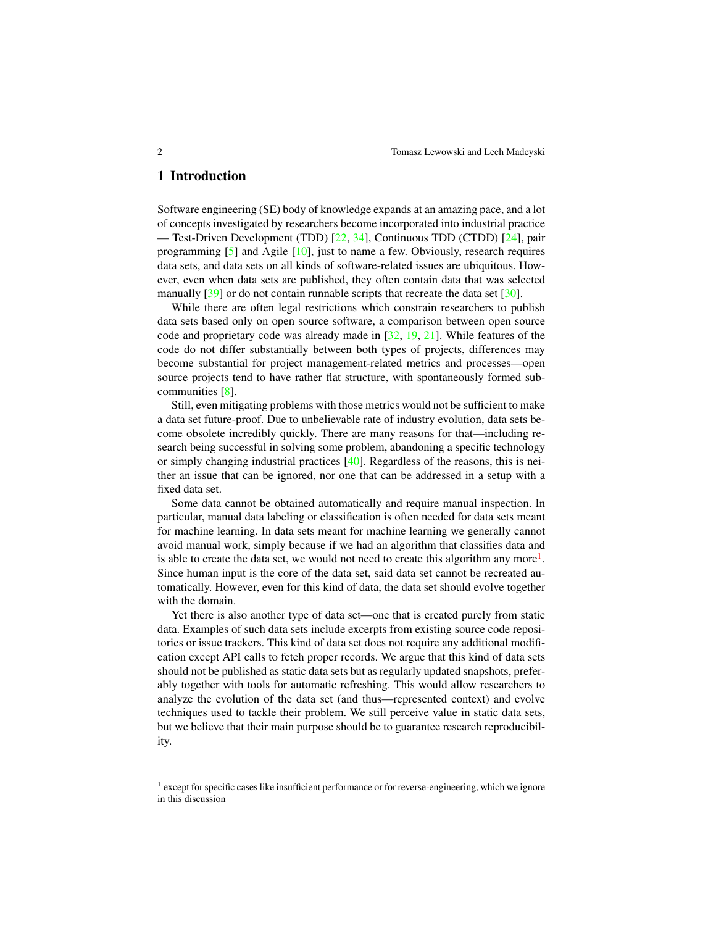## 1 Introduction

Software engineering (SE) body of knowledge expands at an amazing pace, and a lot of concepts investigated by researchers become incorporated into industrial practice — Test-Driven Development (TDD) [\[22,](#page-12-0) [34\]](#page-13-0), Continuous TDD (CTDD) [\[24\]](#page-12-1), pair programming [\[5\]](#page-11-0) and Agile [\[10\]](#page-11-1), just to name a few. Obviously, research requires data sets, and data sets on all kinds of software-related issues are ubiquitous. However, even when data sets are published, they often contain data that was selected manually [\[39\]](#page-13-1) or do not contain runnable scripts that recreate the data set [\[30\]](#page-12-2).

While there are often legal restrictions which constrain researchers to publish data sets based only on open source software, a comparison between open source code and proprietary code was already made in [\[32,](#page-13-2) [19,](#page-12-3) [21\]](#page-12-4). While features of the code do not differ substantially between both types of projects, differences may become substantial for project management-related metrics and processes—open source projects tend to have rather flat structure, with spontaneously formed subcommunities [\[8\]](#page-11-2).

Still, even mitigating problems with those metrics would not be sufficient to make a data set future-proof. Due to unbelievable rate of industry evolution, data sets become obsolete incredibly quickly. There are many reasons for that—including research being successful in solving some problem, abandoning a specific technology or simply changing industrial practices [\[40\]](#page-13-3). Regardless of the reasons, this is neither an issue that can be ignored, nor one that can be addressed in a setup with a fixed data set.

Some data cannot be obtained automatically and require manual inspection. In particular, manual data labeling or classification is often needed for data sets meant for machine learning. In data sets meant for machine learning we generally cannot avoid manual work, simply because if we had an algorithm that classifies data and is able to create the data set, we would not need to create this algorithm any more<sup>[1](#page-0-0)</sup>. Since human input is the core of the data set, said data set cannot be recreated automatically. However, even for this kind of data, the data set should evolve together with the domain.

Yet there is also another type of data set—one that is created purely from static data. Examples of such data sets include excerpts from existing source code repositories or issue trackers. This kind of data set does not require any additional modification except API calls to fetch proper records. We argue that this kind of data sets should not be published as static data sets but as regularly updated snapshots, preferably together with tools for automatic refreshing. This would allow researchers to analyze the evolution of the data set (and thus—represented context) and evolve techniques used to tackle their problem. We still perceive value in static data sets, but we believe that their main purpose should be to guarantee research reproducibility.

<sup>&</sup>lt;sup>1</sup> except for specific cases like insufficient performance or for reverse-engineering, which we ignore in this discussion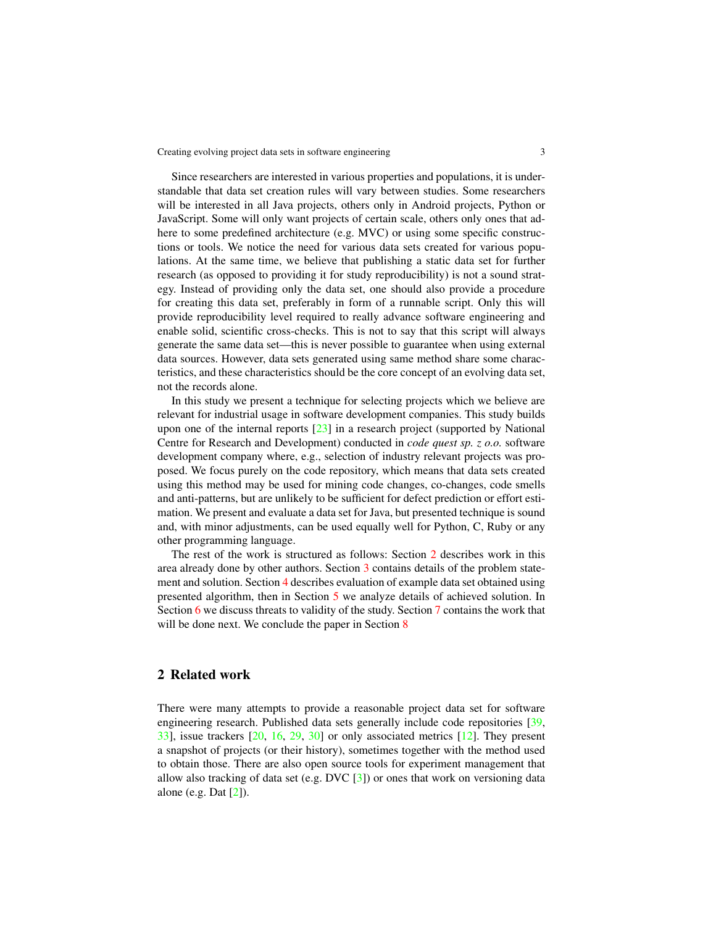Since researchers are interested in various properties and populations, it is understandable that data set creation rules will vary between studies. Some researchers will be interested in all Java projects, others only in Android projects, Python or JavaScript. Some will only want projects of certain scale, others only ones that adhere to some predefined architecture (e.g. MVC) or using some specific constructions or tools. We notice the need for various data sets created for various populations. At the same time, we believe that publishing a static data set for further research (as opposed to providing it for study reproducibility) is not a sound strategy. Instead of providing only the data set, one should also provide a procedure for creating this data set, preferably in form of a runnable script. Only this will provide reproducibility level required to really advance software engineering and enable solid, scientific cross-checks. This is not to say that this script will always generate the same data set—this is never possible to guarantee when using external data sources. However, data sets generated using same method share some characteristics, and these characteristics should be the core concept of an evolving data set, not the records alone.

In this study we present a technique for selecting projects which we believe are relevant for industrial usage in software development companies. This study builds upon one of the internal reports [\[23\]](#page-12-5) in a research project (supported by National Centre for Research and Development) conducted in *code quest sp. z o.o.* software development company where, e.g., selection of industry relevant projects was proposed. We focus purely on the code repository, which means that data sets created using this method may be used for mining code changes, co-changes, code smells and anti-patterns, but are unlikely to be sufficient for defect prediction or effort estimation. We present and evaluate a data set for Java, but presented technique is sound and, with minor adjustments, can be used equally well for Python, C, Ruby or any other programming language.

The rest of the work is structured as follows: Section [2](#page-2-0) describes work in this area already done by other authors. Section [3](#page-3-0) contains details of the problem statement and solution. Section [4](#page-6-0) describes evaluation of example data set obtained using presented algorithm, then in Section [5](#page-7-0) we analyze details of achieved solution. In Section [6](#page-8-0) we discuss threats to validity of the study. Section [7](#page-10-0) contains the work that will be done next. We conclude the paper in Section [8](#page-10-1)

#### <span id="page-2-0"></span>2 Related work

There were many attempts to provide a reasonable project data set for software engineering research. Published data sets generally include code repositories [\[39,](#page-13-1) [33\]](#page-13-4), issue trackers [\[20,](#page-12-6) [16,](#page-11-3) [29,](#page-12-7) [30\]](#page-12-2) or only associated metrics [\[12\]](#page-11-4). They present a snapshot of projects (or their history), sometimes together with the method used to obtain those. There are also open source tools for experiment management that allow also tracking of data set (e.g. DVC [\[3\]](#page-11-5)) or ones that work on versioning data alone (e.g. Dat  $[2]$ ).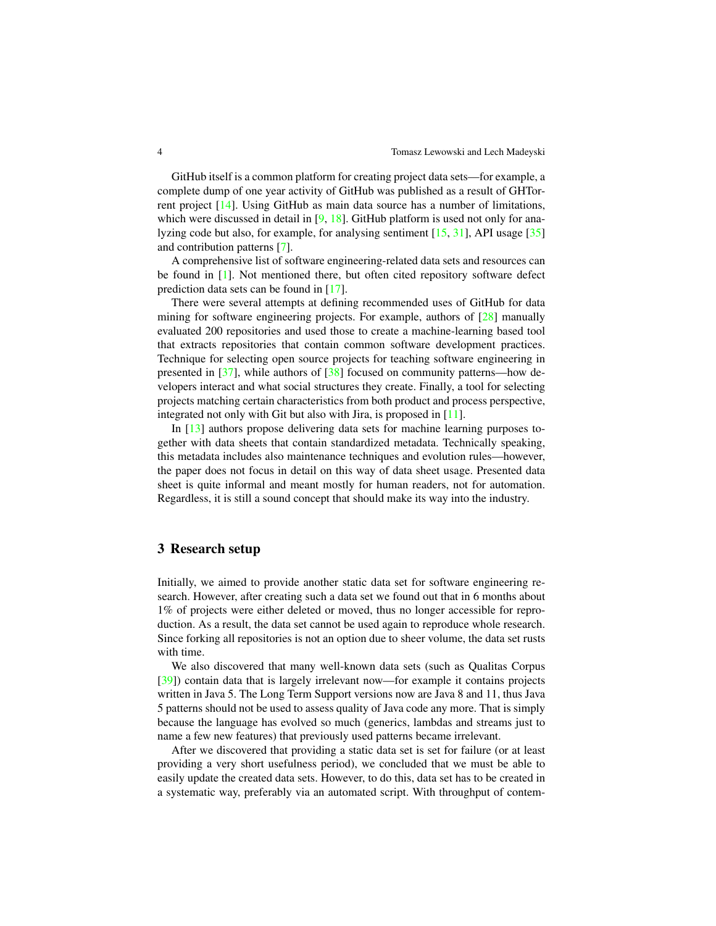GitHub itself is a common platform for creating project data sets—for example, a complete dump of one year activity of GitHub was published as a result of GHTorrent project [\[14\]](#page-11-7). Using GitHub as main data source has a number of limitations, which were discussed in detail in  $[9, 18]$  $[9, 18]$  $[9, 18]$ . GitHub platform is used not only for analyzing code but also, for example, for analysing sentiment [\[15,](#page-11-9) [31\]](#page-12-9), API usage [\[35\]](#page-13-5) and contribution patterns [\[7\]](#page-11-10).

A comprehensive list of software engineering-related data sets and resources can be found in [\[1\]](#page-11-11). Not mentioned there, but often cited repository software defect prediction data sets can be found in [\[17\]](#page-12-10).

There were several attempts at defining recommended uses of GitHub for data mining for software engineering projects. For example, authors of  $[28]$  manually evaluated 200 repositories and used those to create a machine-learning based tool that extracts repositories that contain common software development practices. Technique for selecting open source projects for teaching software engineering in presented in [\[37\]](#page-13-6), while authors of [\[38\]](#page-13-7) focused on community patterns—how developers interact and what social structures they create. Finally, a tool for selecting projects matching certain characteristics from both product and process perspective, integrated not only with Git but also with Jira, is proposed in [\[11\]](#page-11-12).

In [\[13\]](#page-11-13) authors propose delivering data sets for machine learning purposes together with data sheets that contain standardized metadata. Technically speaking, this metadata includes also maintenance techniques and evolution rules—however, the paper does not focus in detail on this way of data sheet usage. Presented data sheet is quite informal and meant mostly for human readers, not for automation. Regardless, it is still a sound concept that should make its way into the industry.

#### <span id="page-3-0"></span>3 Research setup

Initially, we aimed to provide another static data set for software engineering research. However, after creating such a data set we found out that in 6 months about 1% of projects were either deleted or moved, thus no longer accessible for reproduction. As a result, the data set cannot be used again to reproduce whole research. Since forking all repositories is not an option due to sheer volume, the data set rusts with time.

We also discovered that many well-known data sets (such as Qualitas Corpus [\[39\]](#page-13-1)) contain data that is largely irrelevant now—for example it contains projects written in Java 5. The Long Term Support versions now are Java 8 and 11, thus Java 5 patterns should not be used to assess quality of Java code any more. That is simply because the language has evolved so much (generics, lambdas and streams just to name a few new features) that previously used patterns became irrelevant.

After we discovered that providing a static data set is set for failure (or at least providing a very short usefulness period), we concluded that we must be able to easily update the created data sets. However, to do this, data set has to be created in a systematic way, preferably via an automated script. With throughput of contem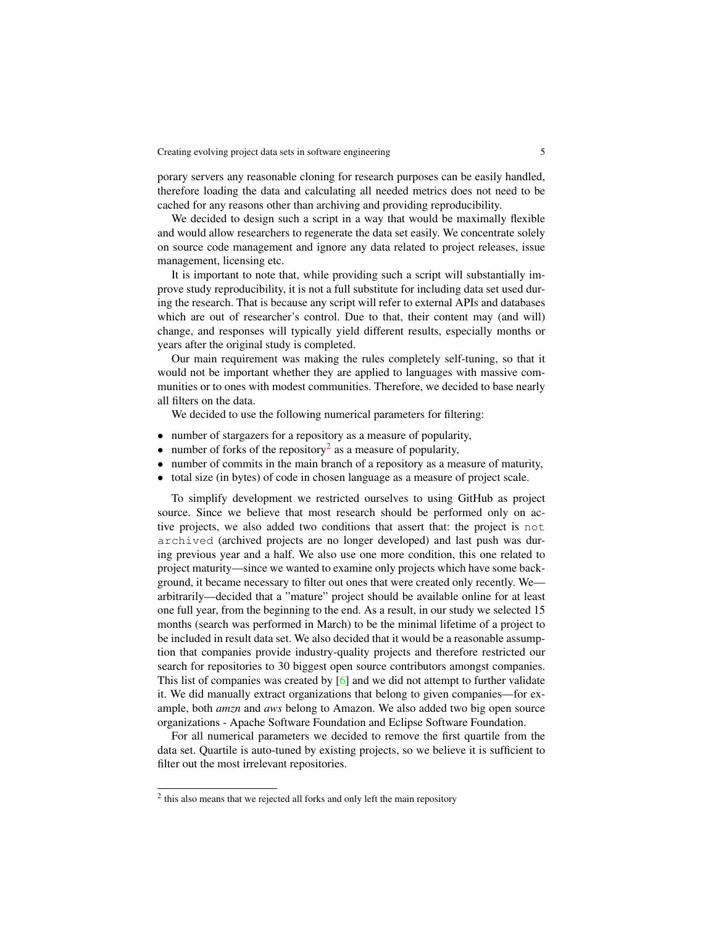porary servers any reasonable cloning for research purposes can be easily handled, therefore loading the data and calculating all needed metrics does not need to be cached for any reasons other than archiving and providing reproducibility.

We decided to design such a script in a way that would be maximally flexible and would allow researchers to regenerate the data set easily. We concentrate solely on source code management and ignore any data related to project releases, issue management, licensing etc.

It is important to note that, while providing such a script will substantially improve study reproducibility, it is not a full substitute for including data set used during the research. That is because any script will refer to external APIs and databases which are out of researcher's control. Due to that, their content may (and will) change, and responses will typically yield different results, especially months or years after the original study is completed.

Our main requirement was making the rules completely self-tuning, so that it would not be important whether they are applied to languages with massive communities or to ones with modest communities. Therefore, we decided to base nearly all filters on the data.

We decided to use the following numerical parameters for filtering:

- number of stargazers for a repository as a measure of popularity,
- number of forks of the repository<sup>[2](#page-0-0)</sup> as a measure of popularity,
- number of commits in the main branch of a repository as a measure of maturity,
- total size (in bytes) of code in chosen language as a measure of project scale.

To simplify development we restricted ourselves to using GitHub as project source. Since we believe that most research should be performed only on active projects, we also added two conditions that assert that: the project is not archived (archived projects are no longer developed) and last push was during previous year and a half. We also use one more condition, this one related to project maturity—since we wanted to examine only projects which have some background, it became necessary to filter out ones that were created only recently. We arbitrarily—decided that a "mature" project should be available online for at least one full year, from the beginning to the end. As a result, in our study we selected 15 months (search was performed in March) to be the minimal lifetime of a project to be included in result data set. We also decided that it would be a reasonable assumption that companies provide industry-quality projects and therefore restricted our search for repositories to 30 biggest open source contributors amongst companies. This list of companies was created by [\[6\]](#page-11-14) and we did not attempt to further validate it. We did manually extract organizations that belong to given companies—for example, both *amzn* and *aws* belong to Amazon. We also added two big open source organizations - Apache Software Foundation and Eclipse Software Foundation.

For all numerical parameters we decided to remove the first quartile from the data set. Quartile is auto-tuned by existing projects, so we believe it is sufficient to filter out the most irrelevant repositories.

<sup>&</sup>lt;sup>2</sup> this also means that we rejected all forks and only left the main repository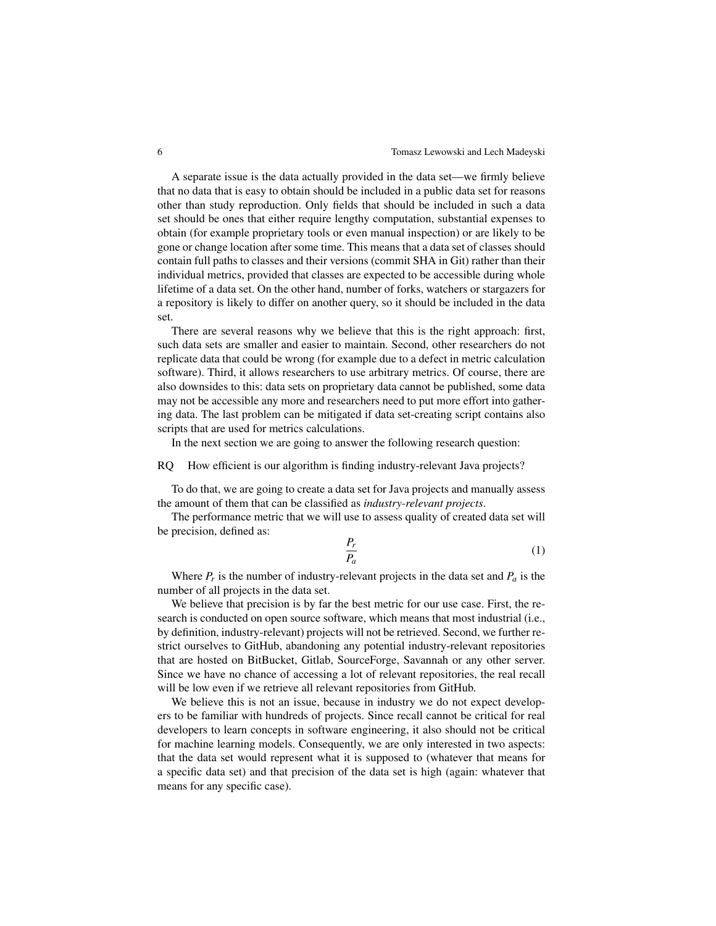A separate issue is the data actually provided in the data set—we firmly believe that no data that is easy to obtain should be included in a public data set for reasons other than study reproduction. Only fields that should be included in such a data set should be ones that either require lengthy computation, substantial expenses to obtain (for example proprietary tools or even manual inspection) or are likely to be gone or change location after some time. This means that a data set of classes should contain full paths to classes and their versions (commit SHA in Git) rather than their individual metrics, provided that classes are expected to be accessible during whole lifetime of a data set. On the other hand, number of forks, watchers or stargazers for a repository is likely to differ on another query, so it should be included in the data set.

There are several reasons why we believe that this is the right approach: first, such data sets are smaller and easier to maintain. Second, other researchers do not replicate data that could be wrong (for example due to a defect in metric calculation software). Third, it allows researchers to use arbitrary metrics. Of course, there are also downsides to this: data sets on proprietary data cannot be published, some data may not be accessible any more and researchers need to put more effort into gathering data. The last problem can be mitigated if data set-creating script contains also scripts that are used for metrics calculations.

In the next section we are going to answer the following research question:

#### RQ How efficient is our algorithm is finding industry-relevant Java projects?

To do that, we are going to create a data set for Java projects and manually assess the amount of them that can be classified as *industry-relevant projects*.

The performance metric that we will use to assess quality of created data set will be precision, defined as:

$$
\frac{P_r}{P_a} \tag{1}
$$

Where  $P_r$  is the number of industry-relevant projects in the data set and  $P_a$  is the number of all projects in the data set.

We believe that precision is by far the best metric for our use case. First, the research is conducted on open source software, which means that most industrial (i.e., by definition, industry-relevant) projects will not be retrieved. Second, we further restrict ourselves to GitHub, abandoning any potential industry-relevant repositories that are hosted on BitBucket, Gitlab, SourceForge, Savannah or any other server. Since we have no chance of accessing a lot of relevant repositories, the real recall will be low even if we retrieve all relevant repositories from GitHub.

We believe this is not an issue, because in industry we do not expect developers to be familiar with hundreds of projects. Since recall cannot be critical for real developers to learn concepts in software engineering, it also should not be critical for machine learning models. Consequently, we are only interested in two aspects: that the data set would represent what it is supposed to (whatever that means for a specific data set) and that precision of the data set is high (again: whatever that means for any specific case).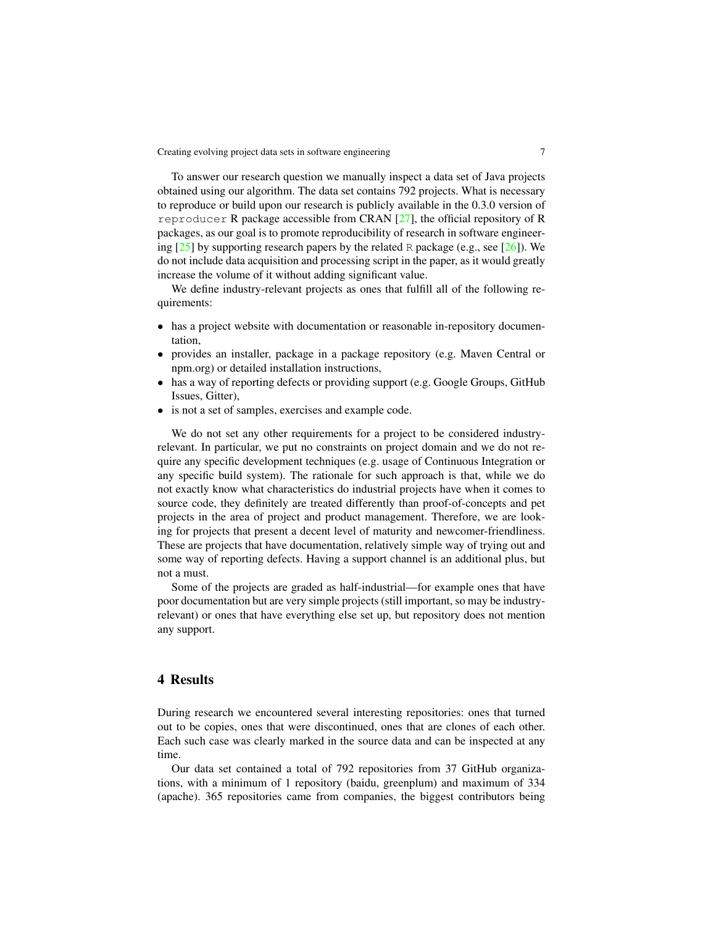To answer our research question we manually inspect a data set of Java projects obtained using our algorithm. The data set contains 792 projects. What is necessary to reproduce or build upon our research is publicly available in the 0.3.0 version of reproducer R package accessible from CRAN  $[27]$ , the official repository of R packages, as our goal is to promote reproducibility of research in software engineering  $[25]$  by supporting research papers by the related R package (e.g., see [\[26\]](#page-12-14)). We do not include data acquisition and processing script in the paper, as it would greatly increase the volume of it without adding significant value.

We define industry-relevant projects as ones that fulfill all of the following requirements:

- has a project website with documentation or reasonable in-repository documentation,
- provides an installer, package in a package repository (e.g. Maven Central or npm.org) or detailed installation instructions,
- has a way of reporting defects or providing support (e.g. Google Groups, GitHub Issues, Gitter),
- is not a set of samples, exercises and example code.

We do not set any other requirements for a project to be considered industryrelevant. In particular, we put no constraints on project domain and we do not require any specific development techniques (e.g. usage of Continuous Integration or any specific build system). The rationale for such approach is that, while we do not exactly know what characteristics do industrial projects have when it comes to source code, they definitely are treated differently than proof-of-concepts and pet projects in the area of project and product management. Therefore, we are looking for projects that present a decent level of maturity and newcomer-friendliness. These are projects that have documentation, relatively simple way of trying out and some way of reporting defects. Having a support channel is an additional plus, but not a must.

Some of the projects are graded as half-industrial—for example ones that have poor documentation but are very simple projects (still important, so may be industryrelevant) or ones that have everything else set up, but repository does not mention any support.

#### <span id="page-6-0"></span>4 Results

During research we encountered several interesting repositories: ones that turned out to be copies, ones that were discontinued, ones that are clones of each other. Each such case was clearly marked in the source data and can be inspected at any time.

Our data set contained a total of 792 repositories from 37 GitHub organizations, with a minimum of 1 repository (baidu, greenplum) and maximum of 334 (apache). 365 repositories came from companies, the biggest contributors being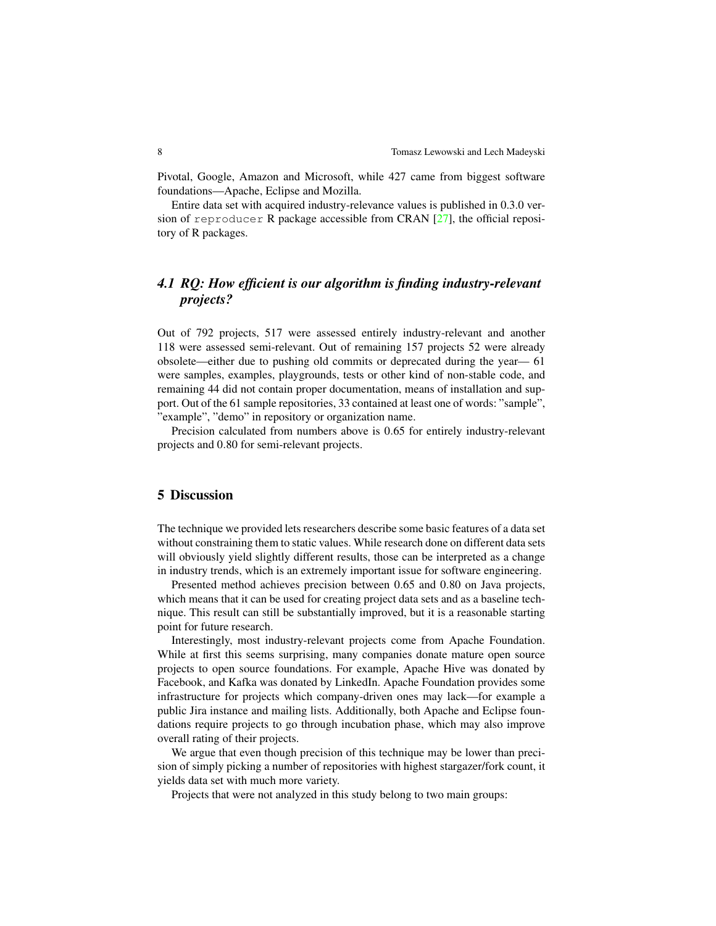Pivotal, Google, Amazon and Microsoft, while 427 came from biggest software foundations—Apache, Eclipse and Mozilla.

Entire data set with acquired industry-relevance values is published in 0.3.0 version of reproducer R package accessible from CRAN [\[27\]](#page-12-12), the official repository of R packages.

## *4.1 RQ: How efficient is our algorithm is finding industry-relevant projects?*

Out of 792 projects, 517 were assessed entirely industry-relevant and another 118 were assessed semi-relevant. Out of remaining 157 projects 52 were already obsolete—either due to pushing old commits or deprecated during the year— 61 were samples, examples, playgrounds, tests or other kind of non-stable code, and remaining 44 did not contain proper documentation, means of installation and support. Out of the 61 sample repositories, 33 contained at least one of words: "sample", "example", "demo" in repository or organization name.

Precision calculated from numbers above is 0.65 for entirely industry-relevant projects and 0.80 for semi-relevant projects.

## <span id="page-7-0"></span>5 Discussion

The technique we provided lets researchers describe some basic features of a data set without constraining them to static values. While research done on different data sets will obviously yield slightly different results, those can be interpreted as a change in industry trends, which is an extremely important issue for software engineering.

Presented method achieves precision between 0.65 and 0.80 on Java projects, which means that it can be used for creating project data sets and as a baseline technique. This result can still be substantially improved, but it is a reasonable starting point for future research.

Interestingly, most industry-relevant projects come from Apache Foundation. While at first this seems surprising, many companies donate mature open source projects to open source foundations. For example, Apache Hive was donated by Facebook, and Kafka was donated by LinkedIn. Apache Foundation provides some infrastructure for projects which company-driven ones may lack—for example a public Jira instance and mailing lists. Additionally, both Apache and Eclipse foundations require projects to go through incubation phase, which may also improve overall rating of their projects.

We argue that even though precision of this technique may be lower than precision of simply picking a number of repositories with highest stargazer/fork count, it yields data set with much more variety.

Projects that were not analyzed in this study belong to two main groups: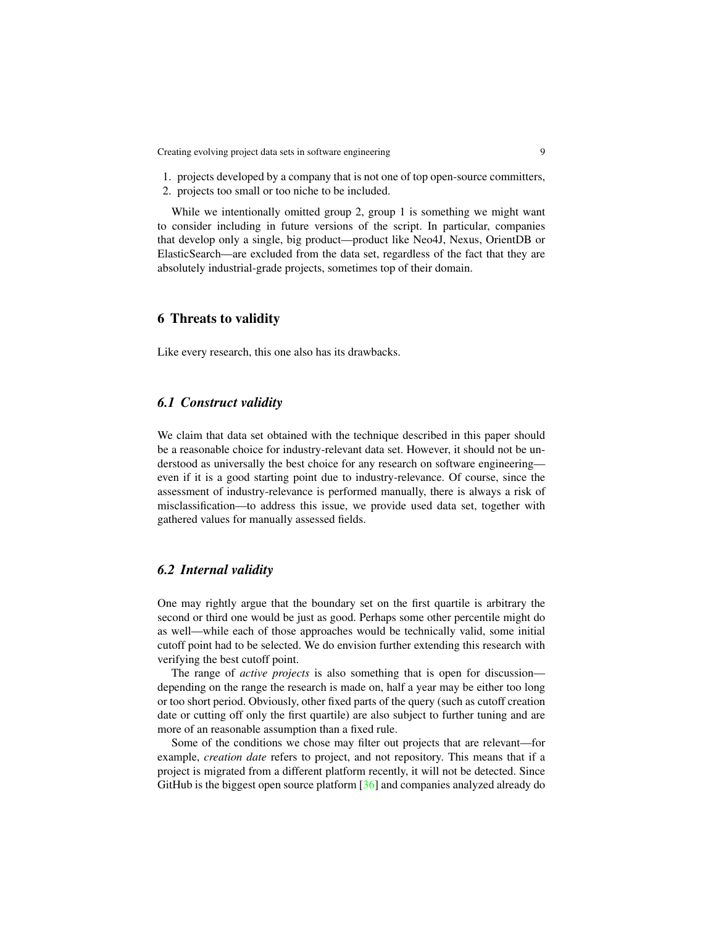- 1. projects developed by a company that is not one of top open-source committers,
- 2. projects too small or too niche to be included.

While we intentionally omitted group 2, group 1 is something we might want to consider including in future versions of the script. In particular, companies that develop only a single, big product—product like Neo4J, Nexus, OrientDB or ElasticSearch—are excluded from the data set, regardless of the fact that they are absolutely industrial-grade projects, sometimes top of their domain.

## <span id="page-8-0"></span>6 Threats to validity

Like every research, this one also has its drawbacks.

## *6.1 Construct validity*

We claim that data set obtained with the technique described in this paper should be a reasonable choice for industry-relevant data set. However, it should not be understood as universally the best choice for any research on software engineering even if it is a good starting point due to industry-relevance. Of course, since the assessment of industry-relevance is performed manually, there is always a risk of misclassification—to address this issue, we provide used data set, together with gathered values for manually assessed fields.

#### *6.2 Internal validity*

One may rightly argue that the boundary set on the first quartile is arbitrary the second or third one would be just as good. Perhaps some other percentile might do as well—while each of those approaches would be technically valid, some initial cutoff point had to be selected. We do envision further extending this research with verifying the best cutoff point.

The range of *active projects* is also something that is open for discussion depending on the range the research is made on, half a year may be either too long or too short period. Obviously, other fixed parts of the query (such as cutoff creation date or cutting off only the first quartile) are also subject to further tuning and are more of an reasonable assumption than a fixed rule.

Some of the conditions we chose may filter out projects that are relevant—for example, *creation date* refers to project, and not repository. This means that if a project is migrated from a different platform recently, it will not be detected. Since GitHub is the biggest open source platform [\[36\]](#page-13-8) and companies analyzed already do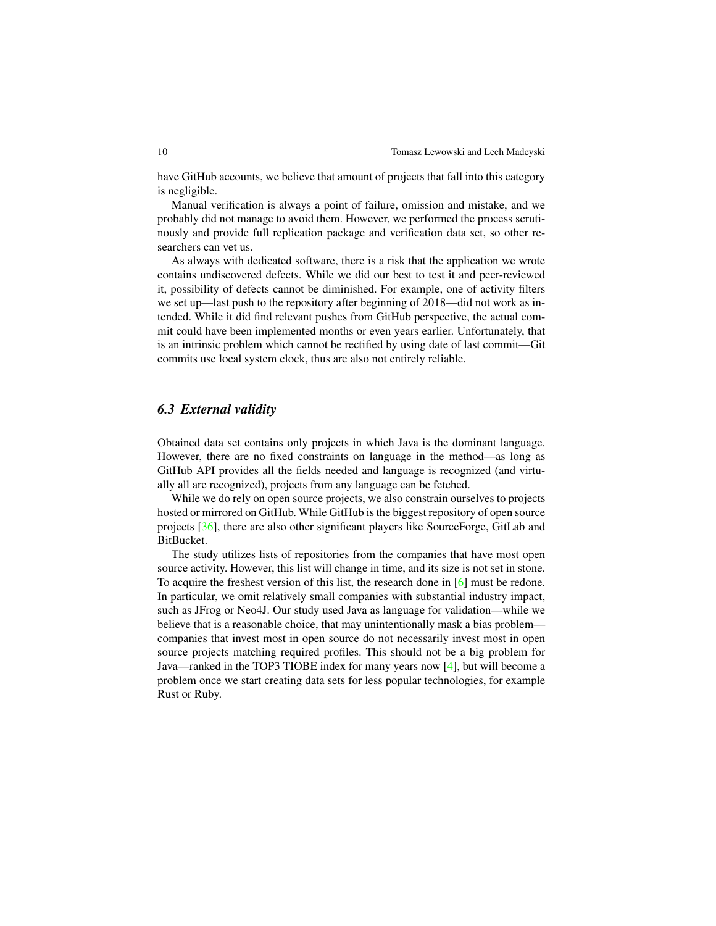have GitHub accounts, we believe that amount of projects that fall into this category is negligible.

Manual verification is always a point of failure, omission and mistake, and we probably did not manage to avoid them. However, we performed the process scrutinously and provide full replication package and verification data set, so other researchers can vet us.

As always with dedicated software, there is a risk that the application we wrote contains undiscovered defects. While we did our best to test it and peer-reviewed it, possibility of defects cannot be diminished. For example, one of activity filters we set up—last push to the repository after beginning of 2018—did not work as intended. While it did find relevant pushes from GitHub perspective, the actual commit could have been implemented months or even years earlier. Unfortunately, that is an intrinsic problem which cannot be rectified by using date of last commit—Git commits use local system clock, thus are also not entirely reliable.

#### *6.3 External validity*

Obtained data set contains only projects in which Java is the dominant language. However, there are no fixed constraints on language in the method—as long as GitHub API provides all the fields needed and language is recognized (and virtually all are recognized), projects from any language can be fetched.

While we do rely on open source projects, we also constrain ourselves to projects hosted or mirrored on GitHub. While GitHub is the biggest repository of open source projects [\[36\]](#page-13-8), there are also other significant players like SourceForge, GitLab and BitBucket.

The study utilizes lists of repositories from the companies that have most open source activity. However, this list will change in time, and its size is not set in stone. To acquire the freshest version of this list, the research done in [\[6\]](#page-11-14) must be redone. In particular, we omit relatively small companies with substantial industry impact, such as JFrog or Neo4J. Our study used Java as language for validation—while we believe that is a reasonable choice, that may unintentionally mask a bias problem companies that invest most in open source do not necessarily invest most in open source projects matching required profiles. This should not be a big problem for Java—ranked in the TOP3 TIOBE index for many years now [\[4\]](#page-11-15), but will become a problem once we start creating data sets for less popular technologies, for example Rust or Ruby.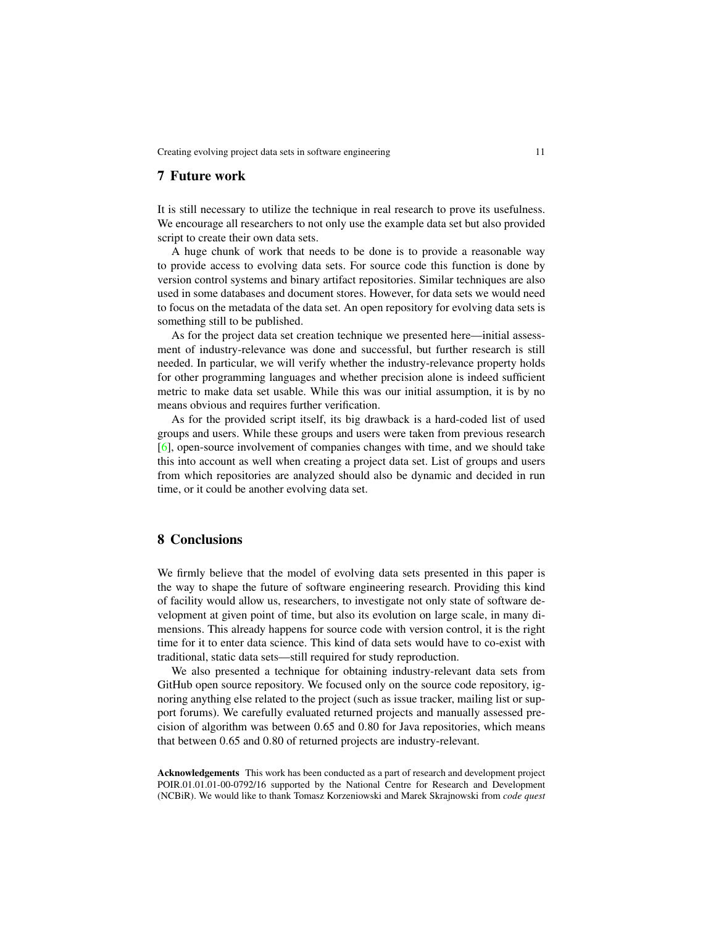## <span id="page-10-0"></span>7 Future work

It is still necessary to utilize the technique in real research to prove its usefulness. We encourage all researchers to not only use the example data set but also provided script to create their own data sets.

A huge chunk of work that needs to be done is to provide a reasonable way to provide access to evolving data sets. For source code this function is done by version control systems and binary artifact repositories. Similar techniques are also used in some databases and document stores. However, for data sets we would need to focus on the metadata of the data set. An open repository for evolving data sets is something still to be published.

As for the project data set creation technique we presented here—initial assessment of industry-relevance was done and successful, but further research is still needed. In particular, we will verify whether the industry-relevance property holds for other programming languages and whether precision alone is indeed sufficient metric to make data set usable. While this was our initial assumption, it is by no means obvious and requires further verification.

As for the provided script itself, its big drawback is a hard-coded list of used groups and users. While these groups and users were taken from previous research [\[6\]](#page-11-14), open-source involvement of companies changes with time, and we should take this into account as well when creating a project data set. List of groups and users from which repositories are analyzed should also be dynamic and decided in run time, or it could be another evolving data set.

#### <span id="page-10-1"></span>8 Conclusions

We firmly believe that the model of evolving data sets presented in this paper is the way to shape the future of software engineering research. Providing this kind of facility would allow us, researchers, to investigate not only state of software development at given point of time, but also its evolution on large scale, in many dimensions. This already happens for source code with version control, it is the right time for it to enter data science. This kind of data sets would have to co-exist with traditional, static data sets—still required for study reproduction.

We also presented a technique for obtaining industry-relevant data sets from GitHub open source repository. We focused only on the source code repository, ignoring anything else related to the project (such as issue tracker, mailing list or support forums). We carefully evaluated returned projects and manually assessed precision of algorithm was between 0.65 and 0.80 for Java repositories, which means that between 0.65 and 0.80 of returned projects are industry-relevant.

Acknowledgements This work has been conducted as a part of research and development project POIR.01.01.01-00-0792/16 supported by the National Centre for Research and Development (NCBiR). We would like to thank Tomasz Korzeniowski and Marek Skrajnowski from *code quest*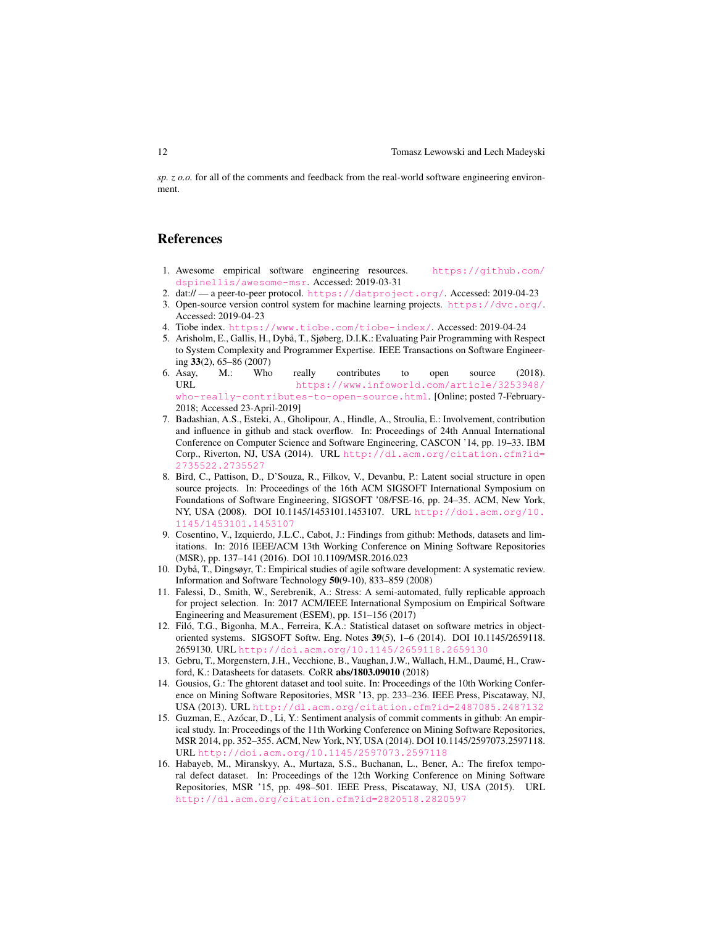*sp. z o.o.* for all of the comments and feedback from the real-world software engineering environment.

### References

- <span id="page-11-11"></span>1. Awesome empirical software engineering resources. [https://github.com/](https://github.com/dspinellis/awesome-msr) [dspinellis/awesome-msr](https://github.com/dspinellis/awesome-msr). Accessed: 2019-03-31
- <span id="page-11-6"></span>2. dat:// — a peer-to-peer protocol. <https://datproject.org/>. Accessed: 2019-04-23
- <span id="page-11-5"></span>3. Open-source version control system for machine learning projects. <https://dvc.org/>. Accessed: 2019-04-23
- <span id="page-11-15"></span>4. Tiobe index. <https://www.tiobe.com/tiobe-index/>. Accessed: 2019-04-24
- <span id="page-11-0"></span>5. Arisholm, E., Gallis, H., Dybå, T., Sjøberg, D.I.K.: Evaluating Pair Programming with Respect to System Complexity and Programmer Expertise. IEEE Transactions on Software Engineering  $33(2)$ , 65–86 (2007)<br>Asay, M.: Who
- <span id="page-11-14"></span>6. Asay, M.: Who really contributes to open source (2018). URL [https://www.infoworld.com/article/3253948/](https://www.infoworld.com/article/3253948/who-really-contributes-to-open-source.html) [who-really-contributes-to-open-source.html](https://www.infoworld.com/article/3253948/who-really-contributes-to-open-source.html). [Online; posted 7-February-2018; Accessed 23-April-2019]
- <span id="page-11-10"></span>7. Badashian, A.S., Esteki, A., Gholipour, A., Hindle, A., Stroulia, E.: Involvement, contribution and influence in github and stack overflow. In: Proceedings of 24th Annual International Conference on Computer Science and Software Engineering, CASCON '14, pp. 19–33. IBM Corp., Riverton, NJ, USA (2014). URL [http://dl.acm.org/citation.cfm?id=](http://dl.acm.org/citation.cfm?id=2735522.2735527) [2735522.2735527](http://dl.acm.org/citation.cfm?id=2735522.2735527)
- <span id="page-11-2"></span>8. Bird, C., Pattison, D., D'Souza, R., Filkov, V., Devanbu, P.: Latent social structure in open source projects. In: Proceedings of the 16th ACM SIGSOFT International Symposium on Foundations of Software Engineering, SIGSOFT '08/FSE-16, pp. 24–35. ACM, New York, NY, USA (2008). DOI 10.1145/1453101.1453107. URL [http://doi.acm.org/10.](http://doi.acm.org/10.1145/1453101.1453107) [1145/1453101.1453107](http://doi.acm.org/10.1145/1453101.1453107)
- <span id="page-11-8"></span>9. Cosentino, V., Izquierdo, J.L.C., Cabot, J.: Findings from github: Methods, datasets and limitations. In: 2016 IEEE/ACM 13th Working Conference on Mining Software Repositories (MSR), pp. 137–141 (2016). DOI 10.1109/MSR.2016.023
- <span id="page-11-1"></span>10. Dybå, T., Dingsøyr, T.: Empirical studies of agile software development: A systematic review. Information and Software Technology 50(9-10), 833–859 (2008)
- <span id="page-11-12"></span>11. Falessi, D., Smith, W., Serebrenik, A.: Stress: A semi-automated, fully replicable approach for project selection. In: 2017 ACM/IEEE International Symposium on Empirical Software Engineering and Measurement (ESEM), pp. 151–156 (2017)
- <span id="page-11-4"></span>12. Filo, T.G., Bigonha, M.A., Ferreira, K.A.: Statistical dataset on software metrics in object- ´ oriented systems. SIGSOFT Softw. Eng. Notes 39(5), 1–6 (2014). DOI 10.1145/2659118. 2659130. URL <http://doi.acm.org/10.1145/2659118.2659130>
- <span id="page-11-13"></span>13. Gebru, T., Morgenstern, J.H., Vecchione, B., Vaughan, J.W., Wallach, H.M., Daume, H., Craw- ´ ford, K.: Datasheets for datasets. CoRR abs/1803.09010 (2018)
- <span id="page-11-7"></span>14. Gousios, G.: The ghtorent dataset and tool suite. In: Proceedings of the 10th Working Conference on Mining Software Repositories, MSR '13, pp. 233–236. IEEE Press, Piscataway, NJ, USA (2013). URL <http://dl.acm.org/citation.cfm?id=2487085.2487132>
- <span id="page-11-9"></span>15. Guzman, E., Azocar, D., Li, Y.: Sentiment analysis of commit comments in github: An empir- ´ ical study. In: Proceedings of the 11th Working Conference on Mining Software Repositories, MSR 2014, pp. 352–355. ACM, New York, NY, USA (2014). DOI 10.1145/2597073.2597118. URL <http://doi.acm.org/10.1145/2597073.2597118>
- <span id="page-11-3"></span>16. Habayeb, M., Miranskyy, A., Murtaza, S.S., Buchanan, L., Bener, A.: The firefox temporal defect dataset. In: Proceedings of the 12th Working Conference on Mining Software Repositories, MSR '15, pp. 498–501. IEEE Press, Piscataway, NJ, USA (2015). URL <http://dl.acm.org/citation.cfm?id=2820518.2820597>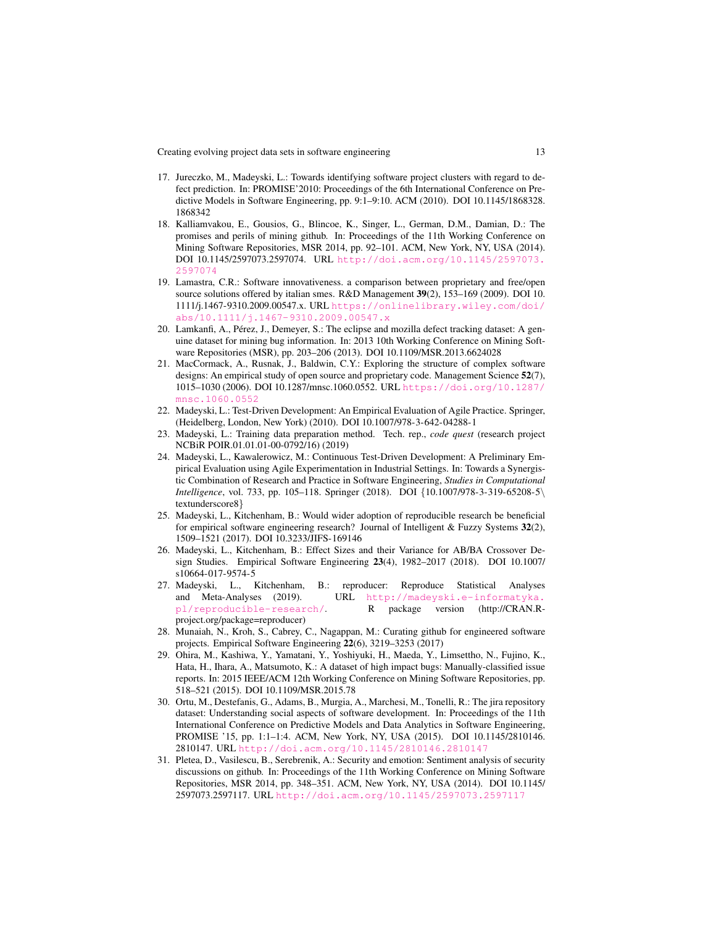- <span id="page-12-10"></span>17. Jureczko, M., Madeyski, L.: Towards identifying software project clusters with regard to defect prediction. In: PROMISE'2010: Proceedings of the 6th International Conference on Predictive Models in Software Engineering, pp. 9:1–9:10. ACM (2010). DOI 10.1145/1868328. 1868342
- <span id="page-12-8"></span>18. Kalliamvakou, E., Gousios, G., Blincoe, K., Singer, L., German, D.M., Damian, D.: The promises and perils of mining github. In: Proceedings of the 11th Working Conference on Mining Software Repositories, MSR 2014, pp. 92–101. ACM, New York, NY, USA (2014). DOI 10.1145/2597073.2597074. URL [http://doi.acm.org/10.1145/2597073.](http://doi.acm.org/10.1145/2597073.2597074) [2597074](http://doi.acm.org/10.1145/2597073.2597074)
- <span id="page-12-3"></span>19. Lamastra, C.R.: Software innovativeness. a comparison between proprietary and free/open source solutions offered by italian smes. R&D Management 39(2), 153–169 (2009). DOI 10. 1111/j.1467-9310.2009.00547.x. URL [https://onlinelibrary.wiley.com/doi/](https://onlinelibrary.wiley.com/doi/abs/10.1111/j.1467-9310.2009.00547.x) [abs/10.1111/j.1467-9310.2009.00547.x](https://onlinelibrary.wiley.com/doi/abs/10.1111/j.1467-9310.2009.00547.x)
- <span id="page-12-6"></span>20. Lamkanfi, A., Pérez, J., Demeyer, S.: The eclipse and mozilla defect tracking dataset: A genuine dataset for mining bug information. In: 2013 10th Working Conference on Mining Software Repositories (MSR), pp. 203–206 (2013). DOI 10.1109/MSR.2013.6624028
- <span id="page-12-4"></span>21. MacCormack, A., Rusnak, J., Baldwin, C.Y.: Exploring the structure of complex software designs: An empirical study of open source and proprietary code. Management Science 52(7), 1015–1030 (2006). DOI 10.1287/mnsc.1060.0552. URL [https://doi.org/10.1287/](https://doi.org/10.1287/mnsc.1060.0552) [mnsc.1060.0552](https://doi.org/10.1287/mnsc.1060.0552)
- <span id="page-12-0"></span>22. Madeyski, L.: Test-Driven Development: An Empirical Evaluation of Agile Practice. Springer, (Heidelberg, London, New York) (2010). DOI 10.1007/978-3-642-04288-1
- <span id="page-12-5"></span>23. Madeyski, L.: Training data preparation method. Tech. rep., *code quest* (research project NCBiR POIR.01.01.01-00-0792/16) (2019)
- <span id="page-12-1"></span>24. Madeyski, L., Kawalerowicz, M.: Continuous Test-Driven Development: A Preliminary Empirical Evaluation using Agile Experimentation in Industrial Settings. In: Towards a Synergistic Combination of Research and Practice in Software Engineering, *Studies in Computational Intelligence*, vol. 733, pp. 105–118. Springer (2018). DOI {10.1007/978-3-319-65208-5\ textunderscore8}
- <span id="page-12-13"></span>25. Madeyski, L., Kitchenham, B.: Would wider adoption of reproducible research be beneficial for empirical software engineering research? Journal of Intelligent & Fuzzy Systems 32(2), 1509–1521 (2017). DOI 10.3233/JIFS-169146
- <span id="page-12-14"></span>26. Madeyski, L., Kitchenham, B.: Effect Sizes and their Variance for AB/BA Crossover Design Studies. Empirical Software Engineering 23(4), 1982–2017 (2018). DOI 10.1007/ s10664-017-9574-5
- <span id="page-12-12"></span>27. Madeyski, L., Kitchenham, B.: reproducer: Reproduce Statistical Analyses and Meta-Analyses (2019). URL http://madeyski.e-informatyka. URL [http://madeyski.e-informatyka.](http://madeyski.e-informatyka.pl/reproducible-research/) [pl/reproducible-research/](http://madeyski.e-informatyka.pl/reproducible-research/). R package version (http://CRAN.Rproject.org/package=reproducer)
- <span id="page-12-11"></span>28. Munaiah, N., Kroh, S., Cabrey, C., Nagappan, M.: Curating github for engineered software projects. Empirical Software Engineering 22(6), 3219–3253 (2017)
- <span id="page-12-7"></span>29. Ohira, M., Kashiwa, Y., Yamatani, Y., Yoshiyuki, H., Maeda, Y., Limsettho, N., Fujino, K., Hata, H., Ihara, A., Matsumoto, K.: A dataset of high impact bugs: Manually-classified issue reports. In: 2015 IEEE/ACM 12th Working Conference on Mining Software Repositories, pp. 518–521 (2015). DOI 10.1109/MSR.2015.78
- <span id="page-12-2"></span>30. Ortu, M., Destefanis, G., Adams, B., Murgia, A., Marchesi, M., Tonelli, R.: The jira repository dataset: Understanding social aspects of software development. In: Proceedings of the 11th International Conference on Predictive Models and Data Analytics in Software Engineering, PROMISE '15, pp. 1:1–1:4. ACM, New York, NY, USA (2015). DOI 10.1145/2810146. 2810147. URL <http://doi.acm.org/10.1145/2810146.2810147>
- <span id="page-12-9"></span>31. Pletea, D., Vasilescu, B., Serebrenik, A.: Security and emotion: Sentiment analysis of security discussions on github. In: Proceedings of the 11th Working Conference on Mining Software Repositories, MSR 2014, pp. 348–351. ACM, New York, NY, USA (2014). DOI 10.1145/ 2597073.2597117. URL <http://doi.acm.org/10.1145/2597073.2597117>